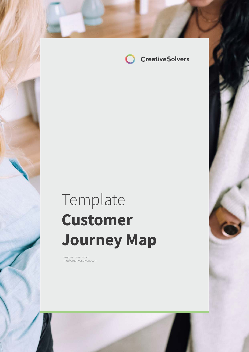

## Template **Customer Journey Map**

creatives of the international creatives of the international creatives of the international creatives of the

creativesolvers.com info@creativesolvers.com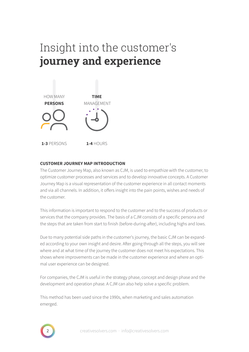## Insight into the customer's **journey and experience**



### **CUSTOMER JOURNEY MAP INTRODUCTION**

The Customer Journey Map, also known as CJM, is used to empathize with the customer, to optimize customer processes and services and to develop innovative concepts. A Customer Journey Map is a visual representation of the customer experience in all contact moments and via all channels. In addition, it offers insight into the pain points, wishes and needs of the customer.

This information is important to respond to the customer and to the success of products or services that the company provides. The basis of a CJM consists of a specific persona and the steps that are taken from start to finish (before-during-after), including highs and lows.

Due to many potential side paths in the customer's journey, the basic CJM can be expanded according to your own insight and desire. After going through all the steps, you will see where and at what time of the journey the customer does not meet his expectations. This shows where improvements can be made in the customer experience and where an optimal user experience can be designed.

For companies, the CJM is useful in the strategy phase, concept and design phase and the development and operation phase. A CJM can also help solve a specific problem.

This method has been used since the 1990s, when marketing and sales automation emerged.

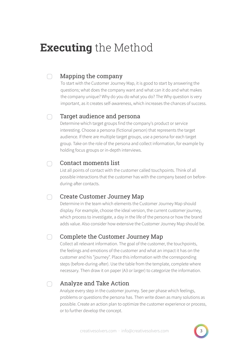### **Executing** the Method

#### Mapping the company ∩

To start with the Customer Journey Map, it is good to start by answering the questions; what does the company want and what can it do and what makes the company unique? Why do you do what you do? The Why question is very important, as it creates self-awareness, which increases the chances of success.

#### Target audience and persona  $\bigcap$

Determine which target groups find the company's product or service interesting. Choose a persona (fictional person) that represents the target audience. If there are multiple target groups, use a persona for each target group. Take on the role of the persona and collect information, for example by holding focus groups or in-depth interviews.

#### Contact moments list  $\cap$

List all points of contact with the customer called touchpoints. Think of all possible interactions that the customer has with the company based on beforeduring-after contacts.

#### Create Customer Journey Map ∩

Determine in the team which elements the Customer Journey Map should display. For example, choose the ideal version, the current customer journey, which process to investigate, a day in the life of the persona or how the brand adds value. Also consider how extensive the Customer Journey Map should be.

#### Complete the Customer Journey Map  $\cap$

Collect all relevant information. The goal of the customer, the touchpoints, the feelings and emotions of the customer and what an impact it has on the customer and his "journey". Place this information with the corresponding steps (before-during-after). Use the table from the template, complete where necessary. Then draw it on paper (A3 or larger) to categorize the information.

#### Analyze and Take Action $\cap$

Analyze every step in the customer journey. See per phase which feelings, problems or questions the persona has. Then write down as many solutions as possible. Create an action plan to optimize the customer experience or process, or to further develop the concept.